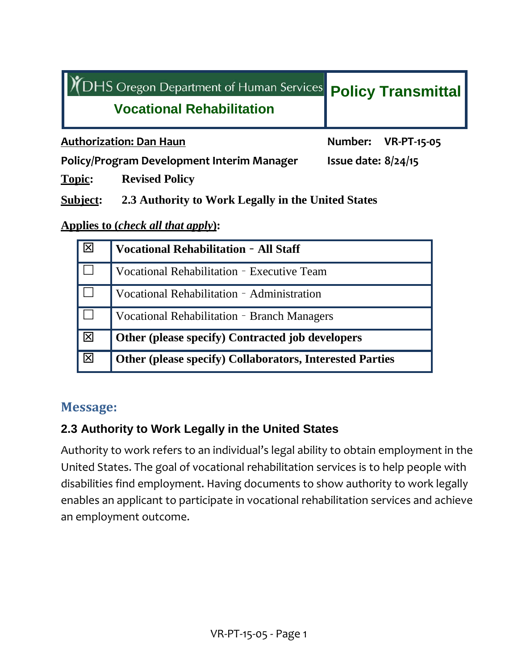| YOHS Oregon Department of Human Services Policy Transmittal |                       |  |
|-------------------------------------------------------------|-----------------------|--|
| <b>Vocational Rehabilitation</b>                            |                       |  |
| <b>Authorization: Dan Haun</b>                              | Number: VR-PT-15-05   |  |
| Policy/Program Development Interim Manager                  | Issue date: $8/24/15$ |  |
| <b>Topic:</b><br><b>Revised Policy</b>                      |                       |  |

### **Subject: 2.3 Authority to Work Legally in the United States**

#### **Applies to (***check all that apply***):**

|     | <b>Vocational Rehabilitation - All Staff</b>                    |  |
|-----|-----------------------------------------------------------------|--|
|     | Vocational Rehabilitation - Executive Team                      |  |
|     | Vocational Rehabilitation - Administration                      |  |
|     | Vocational Rehabilitation - Branch Managers                     |  |
| 冈   | Other (please specify) Contracted job developers                |  |
| ΙXΙ | <b>Other (please specify) Collaborators, Interested Parties</b> |  |

## **Message:**

## **2.3 Authority to Work Legally in the United States**

Authority to work refers to an individual's legal ability to obtain employment in the United States. The goal of vocational rehabilitation services is to help people with disabilities find employment. Having documents to show authority to work legally enables an applicant to participate in vocational rehabilitation services and achieve an employment outcome.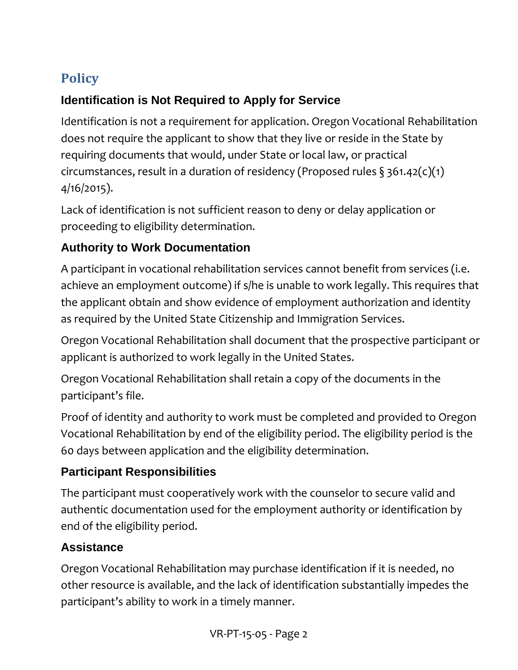# **Policy**

## **Identification is Not Required to Apply for Service**

Identification is not a requirement for application. Oregon Vocational Rehabilitation does not require the applicant to show that they live or reside in the State by requiring documents that would, under State or local law, or practical circumstances, result in a duration of residency (Proposed rules  $\S$  361.42(c)(1) 4/16/2015).

Lack of identification is not sufficient reason to deny or delay application or proceeding to eligibility determination.

## **Authority to Work Documentation**

A participant in vocational rehabilitation services cannot benefit from services (i.e. achieve an employment outcome) if s/he is unable to work legally. This requires that the applicant obtain and show evidence of employment authorization and identity as required by the United State Citizenship and Immigration Services.

Oregon Vocational Rehabilitation shall document that the prospective participant or applicant is authorized to work legally in the United States.

Oregon Vocational Rehabilitation shall retain a copy of the documents in the participant's file.

Proof of identity and authority to work must be completed and provided to Oregon Vocational Rehabilitation by end of the eligibility period. The eligibility period is the 60 days between application and the eligibility determination.

## **Participant Responsibilities**

The participant must cooperatively work with the counselor to secure valid and authentic documentation used for the employment authority or identification by end of the eligibility period.

## **Assistance**

Oregon Vocational Rehabilitation may purchase identification if it is needed, no other resource is available, and the lack of identification substantially impedes the participant's ability to work in a timely manner.